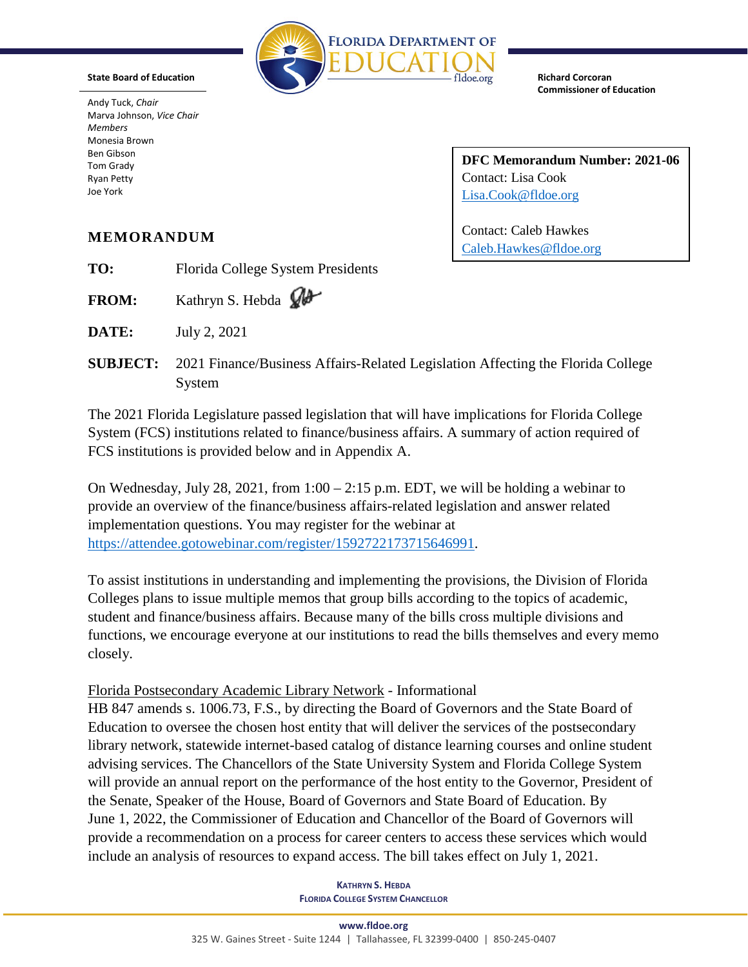

**State Board of Education**

Andy Tuck, *Chair* Marva Johnson, *Vice Chair Members* Monesia Brown Ben Gibson Tom Grady Ryan Petty Joe York

**Richard Corcoran Commissioner of Education**

**DFC Memorandum Number: 2021-06** Contact: Lisa Cook [Lisa.Cook@fldoe.org](mailto:Lisa.Cook@fldoe.org)

Contact: Caleb Hawkes [Caleb.Hawkes@fldoe.org](mailto:Caleb.Hawkes@fldoe.org)

# **MEMORANDUM**

**TO:** Florida College System Presidents

FROM: Kathryn S. Hebda  $\mathcal{W}$ 

**DATE:** July 2, 2021

**SUBJECT:** 2021 Finance/Business Affairs-Related Legislation Affecting the Florida College System

The 2021 Florida Legislature passed legislation that will have implications for Florida College System (FCS) institutions related to finance/business affairs. A summary of action required of FCS institutions is provided below and in Appendix A.

On Wednesday, July 28, 2021, from 1:00 – 2:15 p.m. EDT, we will be holding a webinar to provide an overview of the finance/business affairs-related legislation and answer related implementation questions. You may register for the webinar at [https://attendee.gotowebinar.com/register/1592722173715646991.](https://attendee.gotowebinar.com/register/1592722173715646991)

To assist institutions in understanding and implementing the provisions, the Division of Florida Colleges plans to issue multiple memos that group bills according to the topics of academic, student and finance/business affairs. Because many of the bills cross multiple divisions and functions, we encourage everyone at our institutions to read the bills themselves and every memo closely.

# Florida Postsecondary Academic Library Network - Informational

HB 847 amends s. 1006.73, F.S., by directing the Board of Governors and the State Board of Education to oversee the chosen host entity that will deliver the services of the postsecondary library network, statewide internet-based catalog of distance learning courses and online student advising services. The Chancellors of the State University System and Florida College System will provide an annual report on the performance of the host entity to the Governor, President of the Senate, Speaker of the House, Board of Governors and State Board of Education. By June 1, 2022, the Commissioner of Education and Chancellor of the Board of Governors will provide a recommendation on a process for career centers to access these services which would include an analysis of resources to expand access. The bill takes effect on July 1, 2021.

> **KATHRYN S. HEBDA FLORIDA COLLEGE SYSTEM CHANCELLOR**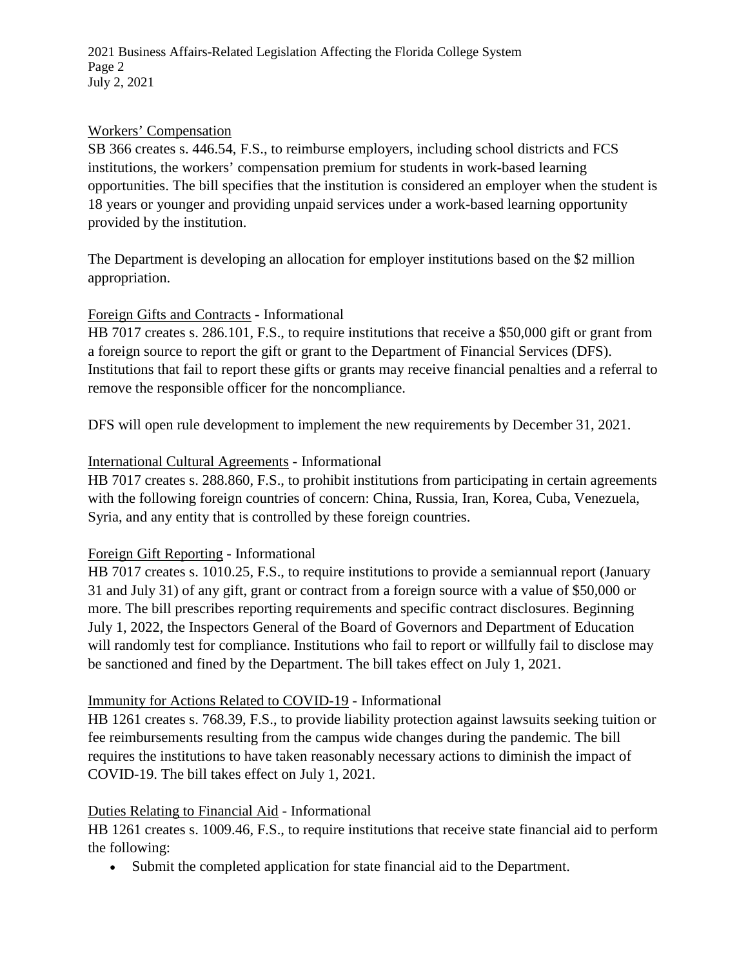2021 Business Affairs-Related Legislation Affecting the Florida College System Page 2 July 2, 2021

#### Workers' Compensation

SB 366 creates s. 446.54, F.S., to reimburse employers, including school districts and FCS institutions, the workers' compensation premium for students in work-based learning opportunities. The bill specifies that the institution is considered an employer when the student is 18 years or younger and providing unpaid services under a work-based learning opportunity provided by the institution.

The Department is developing an allocation for employer institutions based on the \$2 million appropriation.

#### Foreign Gifts and Contracts - Informational

HB 7017 creates s. 286.101, F.S., to require institutions that receive a \$50,000 gift or grant from a foreign source to report the gift or grant to the Department of Financial Services (DFS). Institutions that fail to report these gifts or grants may receive financial penalties and a referral to remove the responsible officer for the noncompliance.

DFS will open rule development to implement the new requirements by December 31, 2021.

#### International Cultural Agreements - Informational

HB 7017 creates s. 288.860, F.S., to prohibit institutions from participating in certain agreements with the following foreign countries of concern: China, Russia, Iran, Korea, Cuba, Venezuela, Syria, and any entity that is controlled by these foreign countries.

#### Foreign Gift Reporting - Informational

HB 7017 creates s. 1010.25, F.S., to require institutions to provide a semiannual report (January 31 and July 31) of any gift, grant or contract from a foreign source with a value of \$50,000 or more. The bill prescribes reporting requirements and specific contract disclosures. Beginning July 1, 2022, the Inspectors General of the Board of Governors and Department of Education will randomly test for compliance. Institutions who fail to report or willfully fail to disclose may be sanctioned and fined by the Department. The bill takes effect on July 1, 2021.

#### Immunity for Actions Related to COVID-19 - Informational

HB 1261 creates s. 768.39, F.S., to provide liability protection against lawsuits seeking tuition or fee reimbursements resulting from the campus wide changes during the pandemic. The bill requires the institutions to have taken reasonably necessary actions to diminish the impact of COVID-19. The bill takes effect on July 1, 2021.

#### Duties Relating to Financial Aid - Informational

HB 1261 creates s. 1009.46, F.S., to require institutions that receive state financial aid to perform the following:

• Submit the completed application for state financial aid to the Department.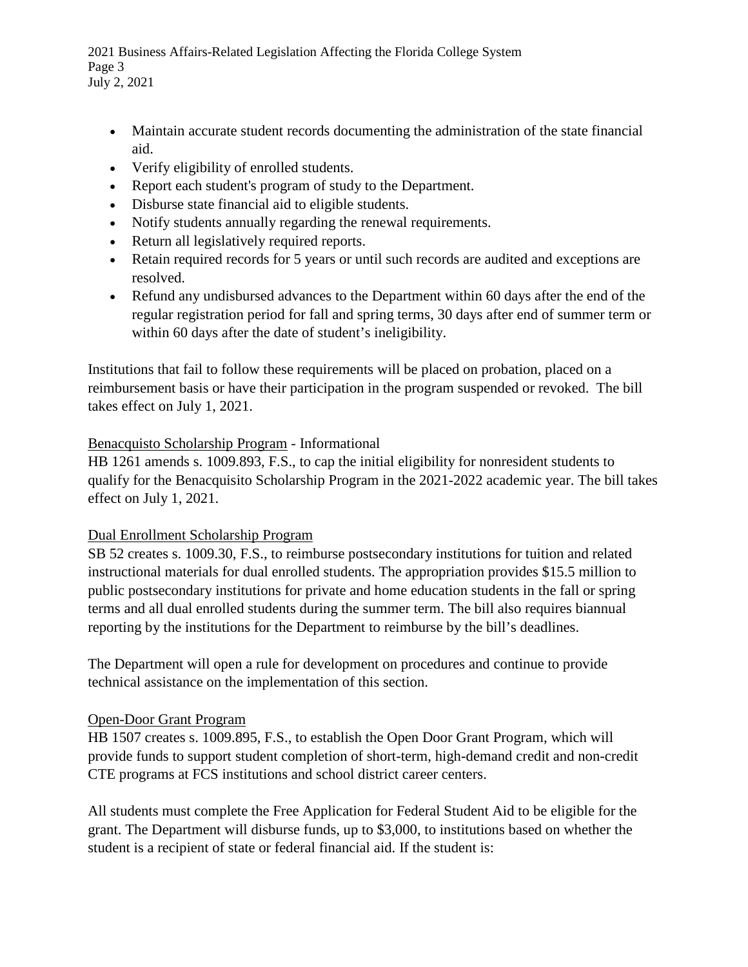2021 Business Affairs-Related Legislation Affecting the Florida College System Page 3 July 2, 2021

- Maintain accurate student records documenting the administration of the state financial aid.
- Verify eligibility of enrolled students.
- Report each student's program of study to the Department.
- Disburse state financial aid to eligible students.
- Notify students annually regarding the renewal requirements.
- Return all legislatively required reports.
- Retain required records for 5 years or until such records are audited and exceptions are resolved.
- Refund any undisbursed advances to the Department within 60 days after the end of the regular registration period for fall and spring terms, 30 days after end of summer term or within 60 days after the date of student's ineligibility.

Institutions that fail to follow these requirements will be placed on probation, placed on a reimbursement basis or have their participation in the program suspended or revoked. The bill takes effect on July 1, 2021.

## Benacquisto Scholarship Program - Informational

HB 1261 amends s. 1009.893, F.S., to cap the initial eligibility for nonresident students to qualify for the Benacquisito Scholarship Program in the 2021-2022 academic year. The bill takes effect on July 1, 2021.

## Dual Enrollment Scholarship Program

SB 52 creates s. 1009.30, F.S., to reimburse postsecondary institutions for tuition and related instructional materials for dual enrolled students. The appropriation provides \$15.5 million to public postsecondary institutions for private and home education students in the fall or spring terms and all dual enrolled students during the summer term. The bill also requires biannual reporting by the institutions for the Department to reimburse by the bill's deadlines.

The Department will open a rule for development on procedures and continue to provide technical assistance on the implementation of this section.

## Open-Door Grant Program

HB 1507 creates s. 1009.895, F.S., to establish the Open Door Grant Program, which will provide funds to support student completion of short-term, high-demand credit and non-credit CTE programs at FCS institutions and school district career centers.

All students must complete the Free Application for Federal Student Aid to be eligible for the grant. The Department will disburse funds, up to \$3,000, to institutions based on whether the student is a recipient of state or federal financial aid. If the student is: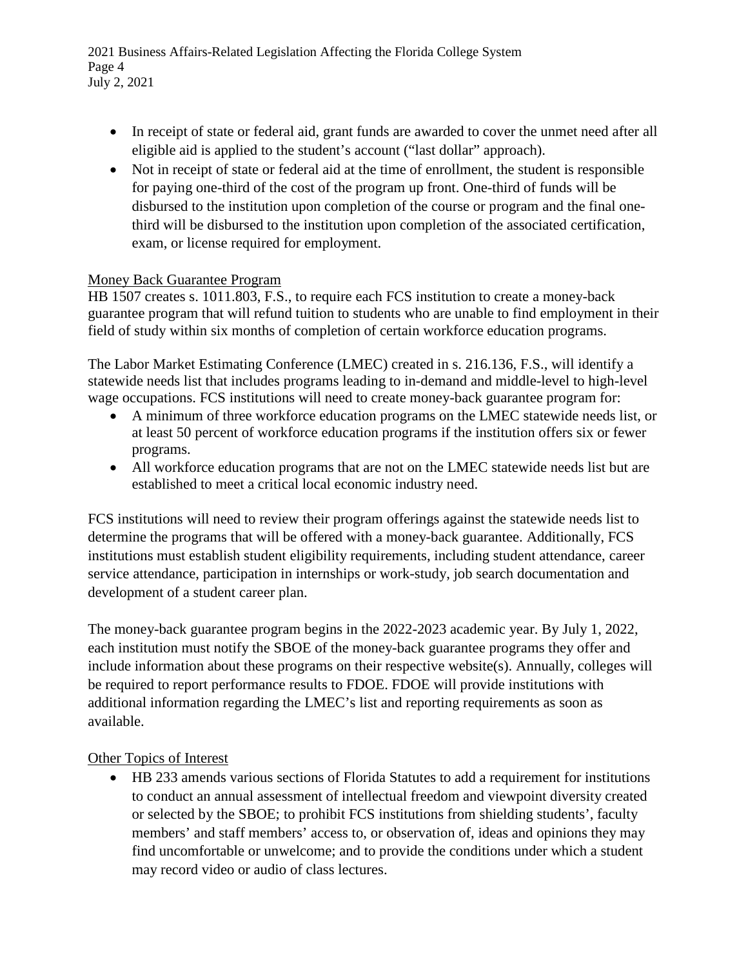2021 Business Affairs-Related Legislation Affecting the Florida College System Page 4 July 2, 2021

- In receipt of state or federal aid, grant funds are awarded to cover the unmet need after all eligible aid is applied to the student's account ("last dollar" approach).
- Not in receipt of state or federal aid at the time of enrollment, the student is responsible for paying one-third of the cost of the program up front. One-third of funds will be disbursed to the institution upon completion of the course or program and the final onethird will be disbursed to the institution upon completion of the associated certification, exam, or license required for employment.

## Money Back Guarantee Program

HB 1507 creates s. 1011.803, F.S., to require each FCS institution to create a money-back guarantee program that will refund tuition to students who are unable to find employment in their field of study within six months of completion of certain workforce education programs.

The Labor Market Estimating Conference (LMEC) created in s. 216.136, F.S., will identify a statewide needs list that includes programs leading to in-demand and middle-level to high-level wage occupations. FCS institutions will need to create money-back guarantee program for:

- A minimum of three workforce education programs on the LMEC statewide needs list, or at least 50 percent of workforce education programs if the institution offers six or fewer programs.
- All workforce education programs that are not on the LMEC statewide needs list but are established to meet a critical local economic industry need.

FCS institutions will need to review their program offerings against the statewide needs list to determine the programs that will be offered with a money-back guarantee. Additionally, FCS institutions must establish student eligibility requirements, including student attendance, career service attendance, participation in internships or work-study, job search documentation and development of a student career plan.

The money-back guarantee program begins in the 2022-2023 academic year. By July 1, 2022, each institution must notify the SBOE of the money-back guarantee programs they offer and include information about these programs on their respective website(s). Annually, colleges will be required to report performance results to FDOE. FDOE will provide institutions with additional information regarding the LMEC's list and reporting requirements as soon as available.

## Other Topics of Interest

• HB 233 amends various sections of Florida Statutes to add a requirement for institutions to conduct an annual assessment of intellectual freedom and viewpoint diversity created or selected by the SBOE; to prohibit FCS institutions from shielding students', faculty members' and staff members' access to, or observation of, ideas and opinions they may find uncomfortable or unwelcome; and to provide the conditions under which a student may record video or audio of class lectures.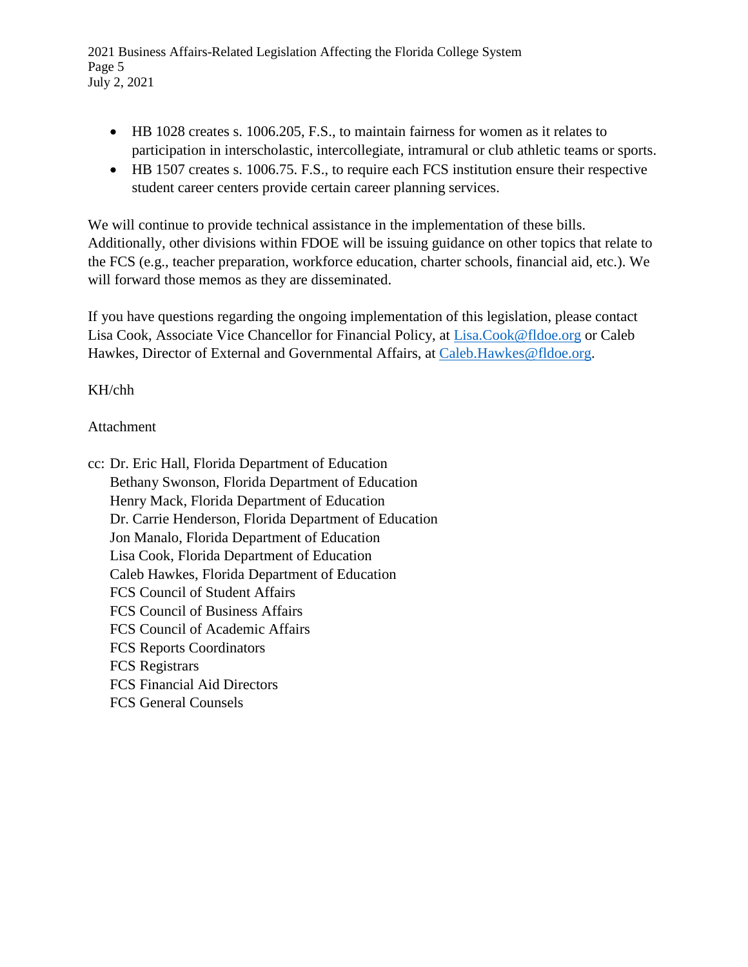2021 Business Affairs-Related Legislation Affecting the Florida College System Page 5 July 2, 2021

- HB 1028 creates s. 1006.205, F.S., to maintain fairness for women as it relates to participation in interscholastic, intercollegiate, intramural or club athletic teams or sports.
- HB 1507 creates s. 1006.75. F.S., to require each FCS institution ensure their respective student career centers provide certain career planning services.

We will continue to provide technical assistance in the implementation of these bills. Additionally, other divisions within FDOE will be issuing guidance on other topics that relate to the FCS (e.g., teacher preparation, workforce education, charter schools, financial aid, etc.). We will forward those memos as they are disseminated.

If you have questions regarding the ongoing implementation of this legislation, please contact Lisa Cook, Associate Vice Chancellor for Financial Policy, at [Lisa.Cook@fldoe.org](mailto:Lisa.Cook@fldoe.org) or Caleb Hawkes, Director of External and Governmental Affairs, at Caleb. Hawkes@fldoe.org.

KH/chh

## Attachment

cc: Dr. Eric Hall, Florida Department of Education Bethany Swonson, Florida Department of Education Henry Mack, Florida Department of Education Dr. Carrie Henderson, Florida Department of Education Jon Manalo, Florida Department of Education Lisa Cook, Florida Department of Education Caleb Hawkes, Florida Department of Education FCS Council of Student Affairs FCS Council of Business Affairs FCS Council of Academic Affairs FCS Reports Coordinators FCS Registrars FCS Financial Aid Directors FCS General Counsels